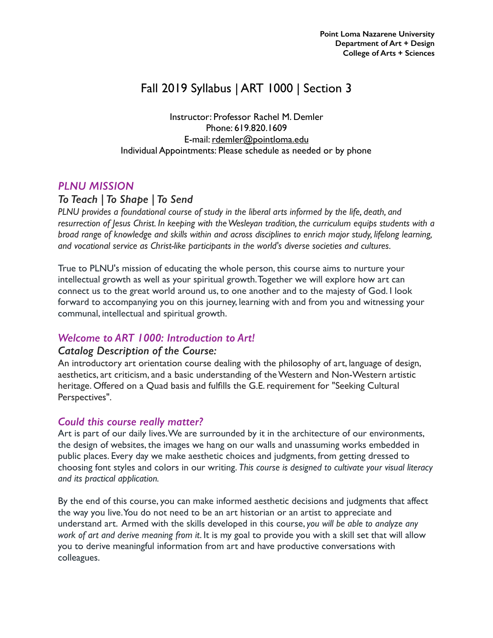# Fall 2019 Syllabus | ART 1000 | Section 3

Instructor: Professor Rachel M. Demler Phone: 619.820.1609 E-mail: [rdemler@pointloma.edu](mailto:rdemler@pointloma.edu) Individual Appointments: Please schedule as needed or by phone

# *PLNU MISSION*

# *To Teach | To Shape | To Send*

*PLNU provides a foundational course of study in the liberal arts informed by the life, death, and resurrection of Jesus Christ. In keeping with the Wesleyan tradition, the curriculum equips students with a broad range of knowledge and skills within and across disciplines to enrich major study, lifelong learning, and vocational service as Christ-like participants in the world's diverse societies and cultures.*

True to PLNU's mission of educating the whole person, this course aims to nurture your intellectual growth as well as your spiritual growth. Together we will explore how art can connect us to the great world around us, to one another and to the majesty of God. I look forward to accompanying you on this journey, learning with and from you and witnessing your communal, intellectual and spiritual growth.

# *Welcome to ART 1000: Introduction to Art!*

# *Catalog Description of the Course:*

An introductory art orientation course dealing with the philosophy of art, language of design, aesthetics, art criticism, and a basic understanding of the Western and Non-Western artistic heritage. Offered on a Quad basis and fulfills the G.E. requirement for "Seeking Cultural Perspectives".

# *Could this course really matter?*

Art is part of our daily lives. We are surrounded by it in the architecture of our environments, the design of websites, the images we hang on our walls and unassuming works embedded in public places. Every day we make aesthetic choices and judgments, from getting dressed to choosing font styles and colors in our writing. *This course is designed to cultivate your visual literacy and its practical application.*

By the end of this course, you can make informed aesthetic decisions and judgments that affect the way you live. You do not need to be an art historian or an artist to appreciate and understand art. Armed with the skills developed in this course, *you will be able to analyze any work of art and derive meaning from it*. It is my goal to provide you with a skill set that will allow you to derive meaningful information from art and have productive conversations with colleagues.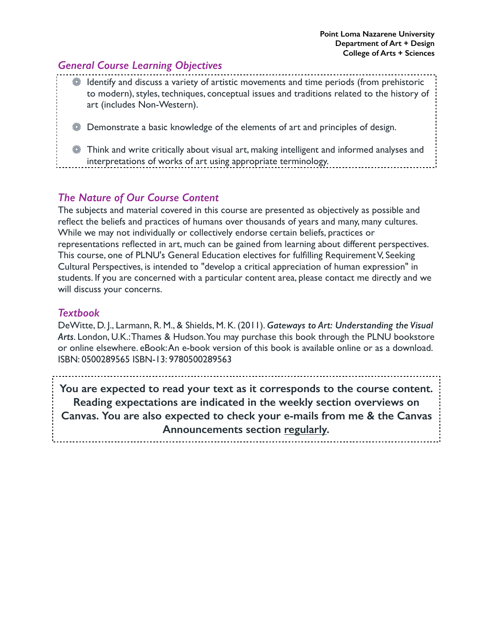# *General Course Learning Objectives*

Identify and discuss a variety of artistic movements and time periods (from prehistoric to modern), styles, techniques, conceptual issues and traditions related to the history of art (includes Non-Western).

Demonstrate a basic knowledge of the elements of art and principles of design.

# *The Nature of Our Course Content*

The subjects and material covered in this course are presented as objectively as possible and reflect the beliefs and practices of humans over thousands of years and many, many cultures. While we may not individually or collectively endorse certain beliefs, practices or representations reflected in art, much can be gained from learning about different perspectives. This course, one of PLNU's General Education electives for fulfilling Requirement V, Seeking Cultural Perspectives, is intended to "develop a critical appreciation of human expression" in students. If you are concerned with a particular content area, please contact me directly and we will discuss your concerns.

# *Textbook*

DeWitte, D. J., Larmann, R. M., & Shields, M. K. (2011). *Gateways to Art: Understanding the Visual Arts*. London, U.K.: Thames & Hudson. You may purchase this book through the PLNU bookstore or online elsewhere. eBook: An e-book version of this book is available online or as a download. ISBN: 0500289565 ISBN-13: 9780500289563

**You are expected to read your text as it corresponds to the course content. Reading expectations are indicated in the weekly section overviews on Canvas. You are also expected to check your e-mails from me & the Canvas Announcements section regularly.** 

Think and write critically about visual art, making intelligent and informed analyses and interpretations of works of art using appropriate terminology.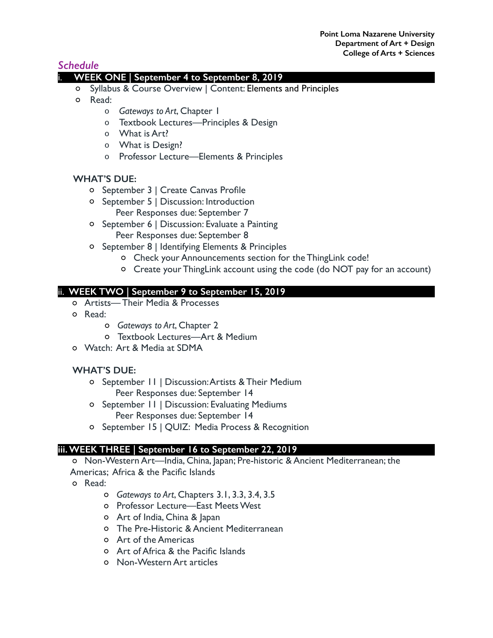# *Schedule*

### i. **WEEK ONE | September 4 to September 8, 2019**

- o Syllabus & Course Overview | Content: Elements and Principles
- Read:
	- o *Gateways to Art*, Chapter 1
	- o Textbook Lectures—Principles & Design
	- o What is Art?
	- o What is Design?
	- o Professor Lecture—Elements & Principles

#### **WHAT'S DUE:**

- o September 3 | Create Canvas Profile
- September 5 | Discussion: Introduction Peer Responses due: September 7
- September 6 | Discussion: Evaluate a Painting Peer Responses due: September 8
- September 8 | Identifying Elements & Principles
	- Check your Announcements section for the ThingLink code!
	- Create your ThingLink account using the code (do NOT pay for an account)

### ii. **WEEK TWO | September 9 to September 15, 2019**

- Artists— Their Media & Processes
- o Read:
	- *Gateways to Art*, Chapter 2
	- Textbook Lectures—Art & Medium
- Watch: Art & Media at SDMA

### **WHAT'S DUE:**

- September 11 | Discussion: Artists & Their Medium Peer Responses due: September 14
- September 11 | Discussion: Evaluating Mediums Peer Responses due: September 14
- September 15 | QUIZ: Media Process & Recognition

### **iii. WEEK THREE | September 16 to September 22, 2019**

Non-Western Art—India, China, Japan; Pre-historic & Ancient Mediterranean; the Americas; Africa & the Pacific Islands

- Read:
	- *Gateways to Art*, Chapters 3.1, 3.3, 3.4, 3.5
	- Professor Lecture—East Meets West
	- Art of India, China & Japan
	- The Pre-Historic & Ancient Mediterranean
	- Art of the Americas
	- Art of Africa & the Pacific Islands
	- Non-Western Art articles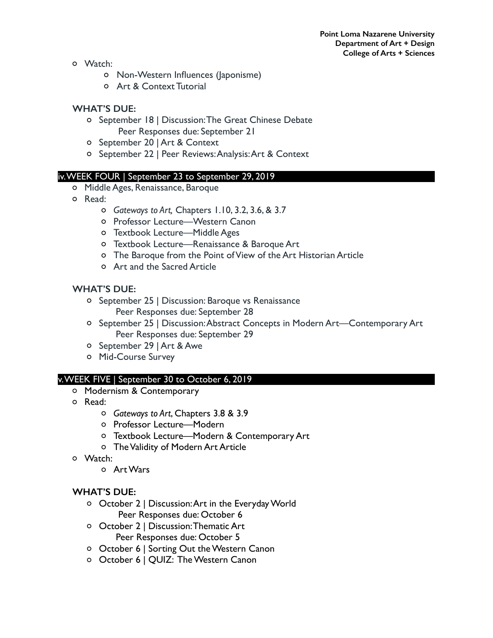- Watch:
	- Non-Western Influences (Japonisme)
	- Art & Context Tutorial

### **WHAT'S DUE:**

- o September 18 | Discussion: The Great Chinese Debate Peer Responses due: September 21
- September 20 | Art & Context
- o September 22 | Peer Reviews: Analysis: Art & Context

#### iv. WEEK FOUR | September 23 to September 29, 2019

- Middle Ages, Renaissance, Baroque
- o Read:
	- *Gateways to Art,* Chapters 1.10, 3.2, 3.6, & 3.7
	- o Professor Lecture—Western Canon
	- Textbook Lecture—Middle Ages
	- Textbook Lecture—Renaissance & Baroque Art
	- The Baroque from the Point of View of the Art Historian Article
	- Art and the Sacred Article

### **WHAT'S DUE:**

- o September 25 | Discussion: Baroque vs Renaissance Peer Responses due: September 28
- o September 25 | Discussion: Abstract Concepts in Modern Art—Contemporary Art Peer Responses due: September 29
- o September 29 | Art & Awe
- Mid-Course Survey

#### v. WEEK FIVE | September 30 to October 6, 2019

- o Modernism & Contemporary
- Read:
	- *Gateways to Art*, Chapters 3.8 & 3.9
	- o Professor Lecture-Modern
	- Textbook Lecture—Modern & Contemporary Art
	- The Validity of Modern Art Article
- Watch:
	- Art Wars

### **WHAT'S DUE:**

- October 2 | Discussion: Art in the Everyday World Peer Responses due: October 6
- October 2 | Discussion: Thematic Art Peer Responses due: October 5
- o October 6 | Sorting Out the Western Canon
- October 6 | QUIZ: The Western Canon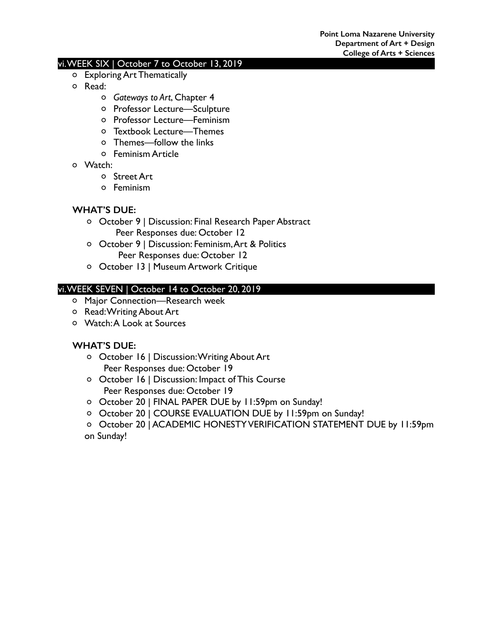#### vi. WEEK SIX | October 7 to October 13, 2019

- Exploring Art Thematically
- Read:
	- *Gateways to Art*, Chapter 4
	- Professor Lecture—Sculpture
	- Professor Lecture—Feminism
	- Textbook Lecture—Themes
	- Themes—follow the links
	- Feminism Article
- Watch:
	- Street Art
	- Feminism

### **WHAT'S DUE:**

- October 9 | Discussion: Final Research Paper Abstract Peer Responses due: October 12
- October 9 | Discussion: Feminism, Art & Politics Peer Responses due: October 12
- October 13 | Museum Artwork Critique

### vi. WEEK SEVEN | October 14 to October 20, 2019

- Major Connection—Research week
- Read: Writing About Art
- Watch: A Look at Sources

### **WHAT'S DUE:**

- October 16 | Discussion: Writing About Art Peer Responses due: October 19
- October 16 | Discussion: Impact of This Course Peer Responses due: October 19
- O October 20 | FINAL PAPER DUE by 11:59pm on Sunday!
- October 20 | COURSE EVALUATION DUE by 11:59pm on Sunday!
- o October 20 | ACADEMIC HONESTY VERIFICATION STATEMENT DUE by 11:59pm on Sunday!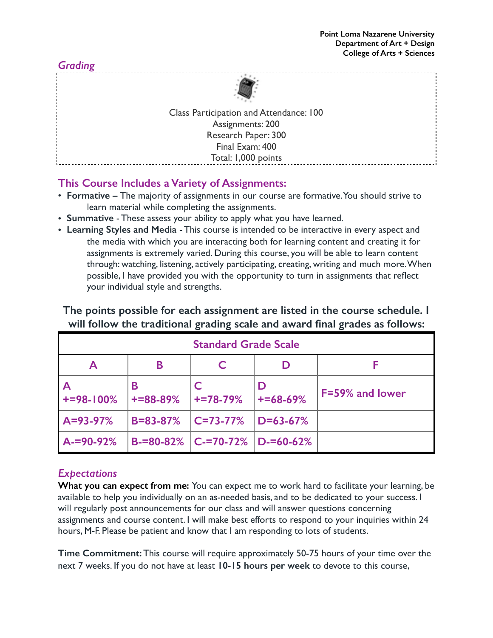

# **This Course Includes a Variety of Assignments:**

- **Formative** The majority of assignments in our course are formative. You should strive to learn material while completing the assignments.
- **Summative** These assess your ability to apply what you have learned.
- **Learning Styles and Media**  This course is intended to be interactive in every aspect and the media with which you are interacting both for learning content and creating it for assignments is extremely varied. During this course, you will be able to learn content through: watching, listening, actively participating, creating, writing and much more. When possible, I have provided you with the opportunity to turn in assignments that reflect your individual style and strengths.

| <b>Standard Grade Scale</b> |                     |                                         |                     |                 |
|-----------------------------|---------------------|-----------------------------------------|---------------------|-----------------|
| A                           | Β                   |                                         |                     |                 |
| $+ = 98 - 100%$             | В<br>$+ = 88 - 89%$ | $+ = 78 - 79%$                          | D<br>$+ = 68 - 69%$ | F=59% and lower |
| $A = 93 - 97%$              | $B = 83 - 87%$      | $ C=73-77%$                             | $D = 63 - 67%$      |                 |
| $A = 90 - 92%$              |                     | $B = 80 - 82\%$   C-=70-72%   D-=60-62% |                     |                 |

**The points possible for each assignment are listed in the course schedule. I will follow the traditional grading scale and award final grades as follows:**

# *Expectations*

**What you can expect from me:** You can expect me to work hard to facilitate your learning, be available to help you individually on an as-needed basis, and to be dedicated to your success. I will regularly post announcements for our class and will answer questions concerning assignments and course content. I will make best efforts to respond to your inquiries within 24 hours, M-F. Please be patient and know that I am responding to lots of students.

**Time Commitment:** This course will require approximately 50-75 hours of your time over the next 7 weeks. If you do not have at least **10-15 hours per week** to devote to this course,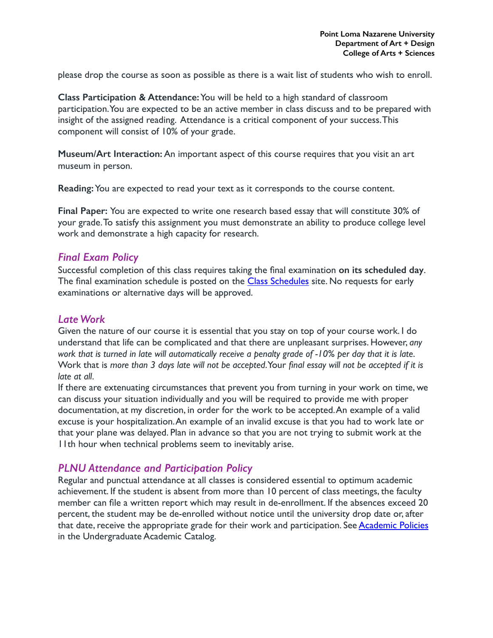please drop the course as soon as possible as there is a wait list of students who wish to enroll.

**Class Participation & Attendance:** You will be held to a high standard of classroom participation. You are expected to be an active member in class discuss and to be prepared with insight of the assigned reading. Attendance is a critical component of your success. This component will consist of 10% of your grade.

**Museum/Art Interaction:** An important aspect of this course requires that you visit an art museum in person.

**Reading:** You are expected to read your text as it corresponds to the course content.

**Final Paper:** You are expected to write one research based essay that will constitute 30% of your grade. To satisfy this assignment you must demonstrate an ability to produce college level work and demonstrate a high capacity for research.

### *Final Exam Policy*

Successful completion of this class requires taking the final examination **on its scheduled day**. The final examination schedule is posted on the [Class Schedules](http://www.pointloma.edu/experience/academics/class-schedules) site. No requests for early examinations or alternative days will be approved.

### *Late Work*

Given the nature of our course it is essential that you stay on top of your course work. I do understand that life can be complicated and that there are unpleasant surprises. However, *any work that is turned in late will automatically receive a penalty grade of -10% per day that it is late*. Work that is *more than 3 days late will not be accepted*. Your *final essay will not be accepted if it is late at all*.

If there are extenuating circumstances that prevent you from turning in your work on time, we can discuss your situation individually and you will be required to provide me with proper documentation, at my discretion, in order for the work to be accepted. An example of a valid excuse is your hospitalization. An example of an invalid excuse is that you had to work late or that your plane was delayed. Plan in advance so that you are not trying to submit work at the 11th hour when technical problems seem to inevitably arise.

# *PLNU Attendance and Participation Policy*

Regular and punctual attendance at all classes is considered essential to optimum academic achievement. If the student is absent from more than 10 percent of class meetings, the faculty member can file a written report which may result in de-enrollment. If the absences exceed 20 percent, the student may be de-enrolled without notice until the university drop date or, after that date, receive the appropriate grade for their work and participation. See [Academic Policies](http://catalog.pointloma.edu/content.php?catoid=18&navoid=1278) in the Undergraduate Academic Catalog.